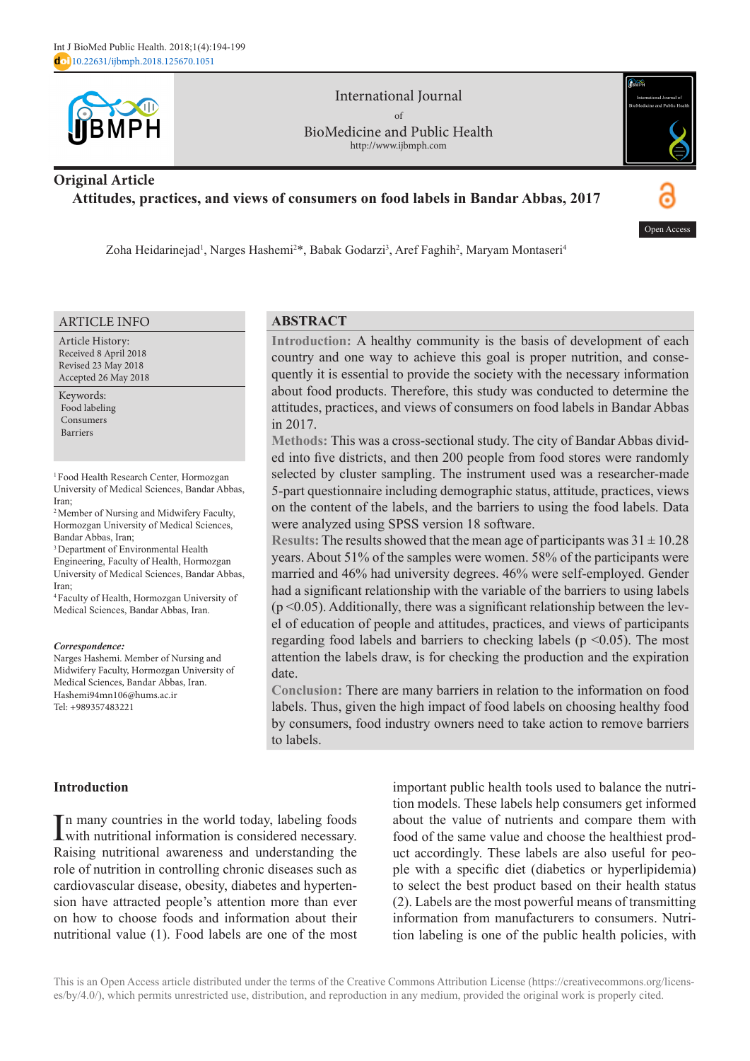

International Journal of BioMedicine and Public Health http://www.ijbmph.com



# **Original Article Attitudes, practices, and views of consumers on food labels in Bandar Abbas, 2017**



Zoha Heidarinejad<sup>ı</sup>, Narges Hashemi<sup>2\*</sup>, Babak Godarzi<sup>3</sup>, Aref Faghih<sup>2</sup>, Maryam Montaseri<sup>4</sup>

#### ARTICLE INFO

Article History: Received 8 April 2018 Revised 23 May 2018 Accepted 26 May 2018

Keywords: Food labeling Consumers Barriers

1 Food Health Research Center, Hormozgan University of Medical Sciences, Bandar Abbas, Iran;

2 Member of Nursing and Midwifery Faculty, Hormozgan University of Medical Sciences, Bandar Abbas, Iran;

<sup>3</sup> Department of Environmental Health Engineering, Faculty of Health, Hormozgan University of Medical Sciences, Bandar Abbas, Iran;

4 Faculty of Health, Hormozgan University of Medical Sciences, Bandar Abbas, Iran.

#### *Correspondence:*

Narges Hashemi. Member of Nursing and Midwifery Faculty, Hormozgan University of Medical Sciences, Bandar Abbas, Iran. Hashemi94mn106@hums.ac.ir Tel: +989357483221

### **ABSTRACT**

**Introduction:** A healthy community is the basis of development of each country and one way to achieve this goal is proper nutrition, and consequently it is essential to provide the society with the necessary information about food products. Therefore, this study was conducted to determine the attitudes, practices, and views of consumers on food labels in Bandar Abbas in 2017.

**Methods:** This was a cross-sectional study. The city of Bandar Abbas divided into five districts, and then 200 people from food stores were randomly selected by cluster sampling. The instrument used was a researcher-made 5-part questionnaire including demographic status, attitude, practices, views on the content of the labels, and the barriers to using the food labels. Data were analyzed using SPSS version 18 software.

**Results:** The results showed that the mean age of participants was  $31 \pm 10.28$ years. About 51% of the samples were women. 58% of the participants were married and 46% had university degrees. 46% were self-employed. Gender had a significant relationship with the variable of the barriers to using labels  $(p \le 0.05)$ . Additionally, there was a significant relationship between the level of education of people and attitudes, practices, and views of participants regarding food labels and barriers to checking labels ( $p \le 0.05$ ). The most attention the labels draw, is for checking the production and the expiration date.

**Conclusion:** There are many barriers in relation to the information on food labels. Thus, given the high impact of food labels on choosing healthy food by consumers, food industry owners need to take action to remove barriers to labels.

**Introduction**

In many countries in the world today, labeling foods<br>with nutritional information is considered necessary. with nutritional information is considered necessary. Raising nutritional awareness and understanding the role of nutrition in controlling chronic diseases such as cardiovascular disease, obesity, diabetes and hypertension have attracted people's attention more than ever on how to choose foods and information about their nutritional value (1). Food labels are one of the most

important public health tools used to balance the nutrition models. These labels help consumers get informed about the value of nutrients and compare them with food of the same value and choose the healthiest product accordingly. These labels are also useful for people with a specific diet (diabetics or hyperlipidemia) to select the best product based on their health status (2). Labels are the most powerful means of transmitting information from manufacturers to consumers. Nutrition labeling is one of the public health policies, with

This is an Open Access article distributed under the terms of the Creative Commons Attribution License (https://creativecommons.org/licenses/by/4.0/), which permits unrestricted use, distribution, and reproduction in any medium, provided the original work is properly cited.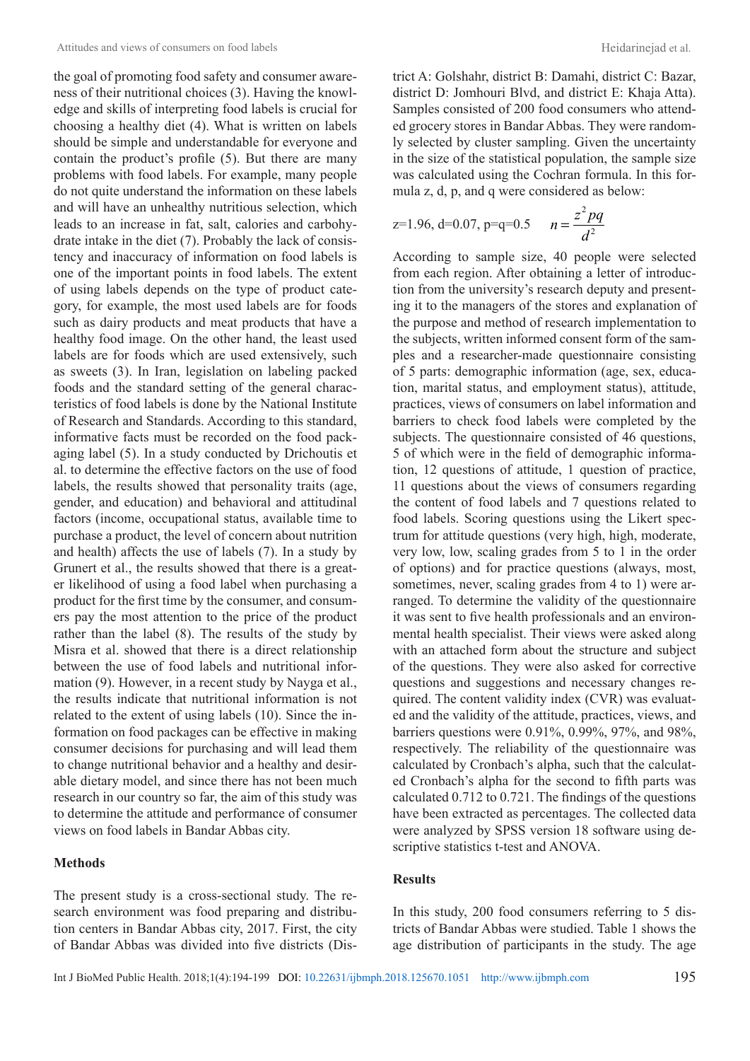the goal of promoting food safety and consumer awareness of their nutritional choices (3). Having the knowledge and skills of interpreting food labels is crucial for choosing a healthy diet (4). What is written on labels should be simple and understandable for everyone and contain the product's profile (5). But there are many problems with food labels. For example, many people do not quite understand the information on these labels and will have an unhealthy nutritious selection, which leads to an increase in fat, salt, calories and carbohydrate intake in the diet (7). Probably the lack of consistency and inaccuracy of information on food labels is one of the important points in food labels. The extent of using labels depends on the type of product category, for example, the most used labels are for foods such as dairy products and meat products that have a healthy food image. On the other hand, the least used labels are for foods which are used extensively, such as sweets (3). In Iran, legislation on labeling packed foods and the standard setting of the general characteristics of food labels is done by the National Institute of Research and Standards. According to this standard, informative facts must be recorded on the food packaging label (5). In a study conducted by Drichoutis et al. to determine the effective factors on the use of food labels, the results showed that personality traits (age, gender, and education) and behavioral and attitudinal factors (income, occupational status, available time to purchase a product, the level of concern about nutrition and health) affects the use of labels (7). In a study by Grunert et al., the results showed that there is a greater likelihood of using a food label when purchasing a product for the first time by the consumer, and consumers pay the most attention to the price of the product rather than the label (8). The results of the study by Misra et al. showed that there is a direct relationship between the use of food labels and nutritional information (9). However, in a recent study by Nayga et al., the results indicate that nutritional information is not related to the extent of using labels (10). Since the information on food packages can be effective in making consumer decisions for purchasing and will lead them to change nutritional behavior and a healthy and desirable dietary model, and since there has not been much research in our country so far, the aim of this study was to determine the attitude and performance of consumer views on food labels in Bandar Abbas city.

### **Methods**

The present study is a cross-sectional study. The research environment was food preparing and distribution centers in Bandar Abbas city, 2017. First, the city of Bandar Abbas was divided into five districts (District A: Golshahr, district B: Damahi, district C: Bazar, district D: Jomhouri Blvd, and district E: Khaja Atta). Samples consisted of 200 food consumers who attended grocery stores in Bandar Abbas. They were randomly selected by cluster sampling. Given the uncertainty in the size of the statistical population, the sample size was calculated using the Cochran formula. In this formula z, d, p, and q were considered as below:

$$
z=1.96, d=0.07, p=q=0.5
$$
  $n=\frac{z^2pq}{d^2}$ 

According to sample size, 40 people were selected from each region. After obtaining a letter of introduction from the university's research deputy and presenting it to the managers of the stores and explanation of the purpose and method of research implementation to the subjects, written informed consent form of the samples and a researcher-made questionnaire consisting of 5 parts: demographic information (age, sex, education, marital status, and employment status), attitude, practices, views of consumers on label information and barriers to check food labels were completed by the subjects. The questionnaire consisted of 46 questions, 5 of which were in the field of demographic information, 12 questions of attitude, 1 question of practice, 11 questions about the views of consumers regarding the content of food labels and 7 questions related to food labels. Scoring questions using the Likert spectrum for attitude questions (very high, high, moderate, very low, low, scaling grades from 5 to 1 in the order of options) and for practice questions (always, most, sometimes, never, scaling grades from 4 to 1) were arranged. To determine the validity of the questionnaire it was sent to five health professionals and an environmental health specialist. Their views were asked along with an attached form about the structure and subject of the questions. They were also asked for corrective questions and suggestions and necessary changes required. The content validity index (CVR) was evaluated and the validity of the attitude, practices, views, and barriers questions were 0.91%, 0.99%, 97%, and 98%, respectively. The reliability of the questionnaire was calculated by Cronbach's alpha, such that the calculated Cronbach's alpha for the second to fifth parts was calculated 0.712 to 0.721. The findings of the questions have been extracted as percentages. The collected data were analyzed by SPSS version 18 software using descriptive statistics t-test and ANOVA.

## **Results**

In this study, 200 food consumers referring to 5 districts of Bandar Abbas were studied. Table 1 shows the age distribution of participants in the study. The age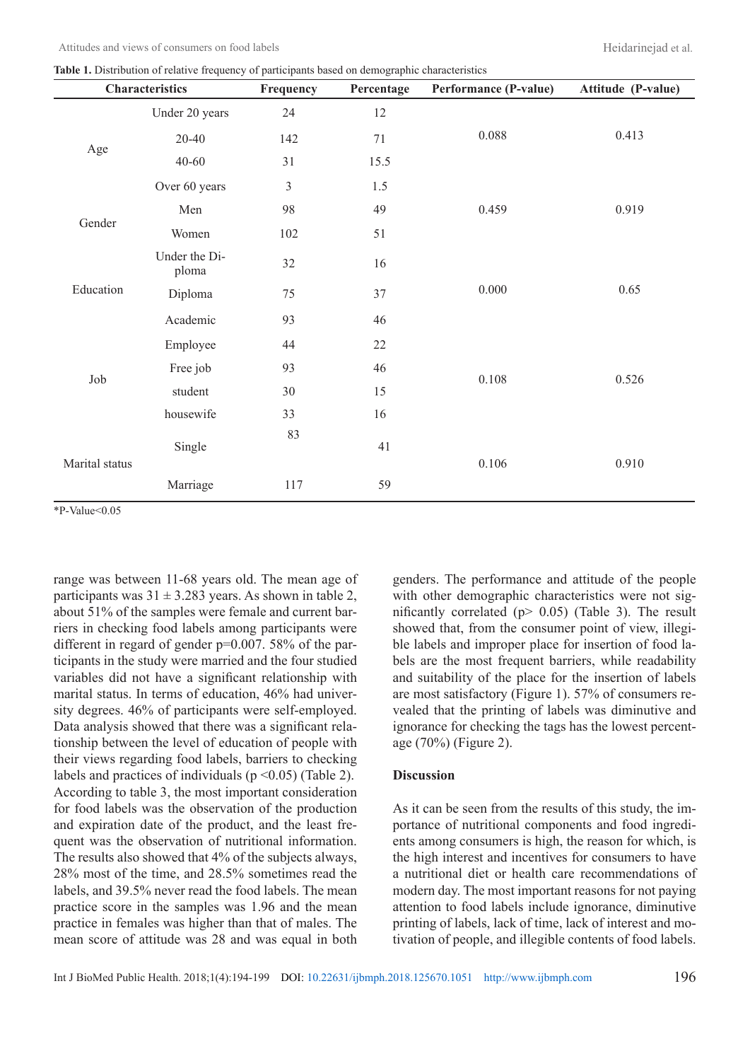**Table 1.** Distribution of relative frequency of participants based on demographic characteristics

| able 1. Bistribution of relative negative of participants based on demographic enaritetiones<br>Characteristics |                        | Frequency      | Percentage | Performance (P-value) | Attitude (P-value) |  |
|-----------------------------------------------------------------------------------------------------------------|------------------------|----------------|------------|-----------------------|--------------------|--|
|                                                                                                                 | Under 20 years         | 24             | 12         |                       | 0.413              |  |
| Age                                                                                                             | $20 - 40$              | 142            | 71         | 0.088                 |                    |  |
|                                                                                                                 | $40 - 60$              | 31             | 15.5       |                       |                    |  |
|                                                                                                                 | Over 60 years          | $\mathfrak{Z}$ | 1.5        |                       |                    |  |
| Gender                                                                                                          | Men                    | 98             | 49         | 0.459                 | 0.919              |  |
|                                                                                                                 | Women                  | 102            | 51         |                       |                    |  |
| Education                                                                                                       | Under the Di-<br>ploma | 32             | 16         |                       | 0.65               |  |
|                                                                                                                 | Diploma                | 75             | 37         | 0.000                 |                    |  |
|                                                                                                                 | Academic               | 93             | 46         |                       |                    |  |
| Job                                                                                                             | Employee               | 44             | 22         |                       | 0.526              |  |
|                                                                                                                 | Free job               | 93             | 46         | 0.108                 |                    |  |
|                                                                                                                 | student                | 30             | 15         |                       |                    |  |
|                                                                                                                 | housewife              | 33             | 16         |                       |                    |  |
| Marital status                                                                                                  | Single                 | 83             | 41         | 0.106                 | 0.910              |  |
|                                                                                                                 | Marriage               | 117            | 59         |                       |                    |  |

\*P-Value<0.05

range was between 11-68 years old. The mean age of participants was  $31 \pm 3.283$  years. As shown in table 2, about 51% of the samples were female and current barriers in checking food labels among participants were different in regard of gender p=0.007. 58% of the participants in the study were married and the four studied variables did not have a significant relationship with marital status. In terms of education, 46% had university degrees. 46% of participants were self-employed. Data analysis showed that there was a significant relationship between the level of education of people with their views regarding food labels, barriers to checking labels and practices of individuals ( $p \le 0.05$ ) (Table 2). According to table 3, the most important consideration for food labels was the observation of the production and expiration date of the product, and the least frequent was the observation of nutritional information. The results also showed that 4% of the subjects always, 28% most of the time, and 28.5% sometimes read the labels, and 39.5% never read the food labels. The mean practice score in the samples was 1.96 and the mean practice in females was higher than that of males. The mean score of attitude was 28 and was equal in both genders. The performance and attitude of the people with other demographic characteristics were not significantly correlated ( $p$  > 0.05) (Table 3). The result showed that, from the consumer point of view, illegible labels and improper place for insertion of food labels are the most frequent barriers, while readability and suitability of the place for the insertion of labels are most satisfactory (Figure 1). 57% of consumers revealed that the printing of labels was diminutive and ignorance for checking the tags has the lowest percentage (70%) (Figure 2).

#### **Discussion**

As it can be seen from the results of this study, the importance of nutritional components and food ingredients among consumers is high, the reason for which, is the high interest and incentives for consumers to have a nutritional diet or health care recommendations of modern day. The most important reasons for not paying attention to food labels include ignorance, diminutive printing of labels, lack of time, lack of interest and motivation of people, and illegible contents of food labels.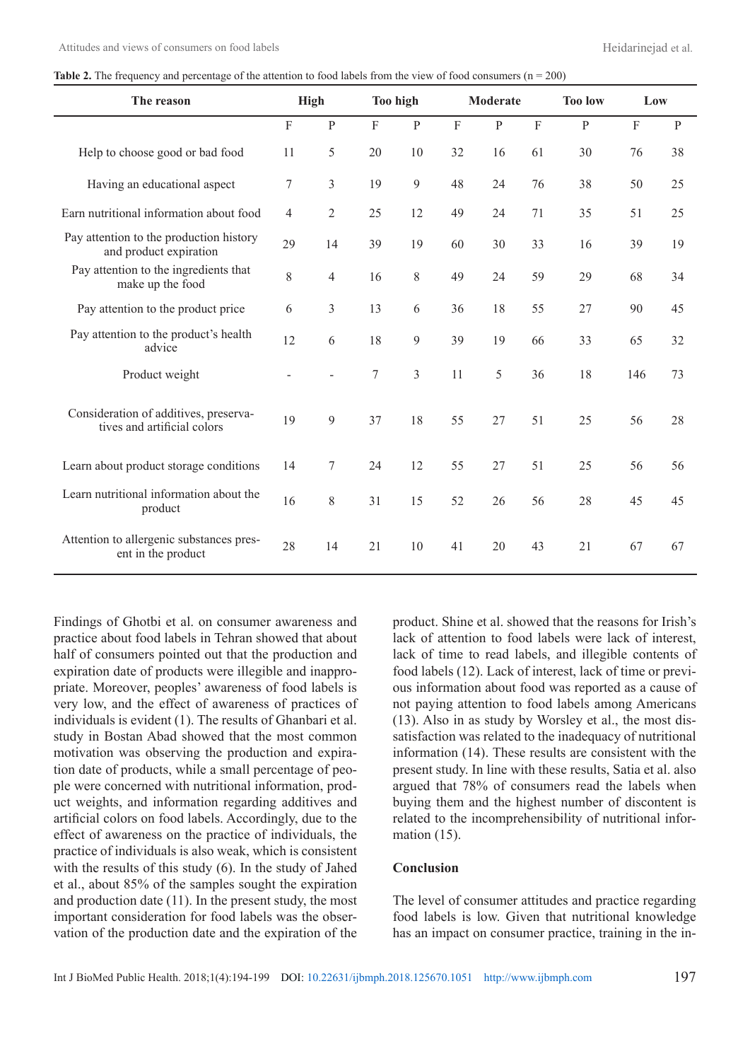**Table 2.** The frequency and percentage of the attention to food labels from the view of food consumers (n = 200)

| The reason                                                           |             | High           |                | <b>Too high</b> |                | <b>Moderate</b> |           | <b>Too low</b><br>Low |         |              |
|----------------------------------------------------------------------|-------------|----------------|----------------|-----------------|----------------|-----------------|-----------|-----------------------|---------|--------------|
|                                                                      | $\mathbf F$ | ${\bf P}$      | F              | ${\bf P}$       | $\overline{F}$ | $\, {\bf p}$    | ${\bf F}$ | ${\bf P}$             | $\rm F$ | $\, {\bf P}$ |
| Help to choose good or bad food                                      | 11          | 5              | 20             | 10              | 32             | 16              | 61        | 30                    | 76      | 38           |
| Having an educational aspect                                         | 7           | 3              | 19             | 9               | 48             | 24              | 76        | 38                    | 50      | 25           |
| Earn nutritional information about food                              | 4           | $\overline{2}$ | 25             | 12              | 49             | 24              | 71        | 35                    | 51      | 25           |
| Pay attention to the production history<br>and product expiration    | 29          | 14             | 39             | 19              | 60             | 30              | 33        | 16                    | 39      | 19           |
| Pay attention to the ingredients that<br>make up the food            | 8           | 4              | 16             | 8               | 49             | 24              | 59        | 29                    | 68      | 34           |
| Pay attention to the product price                                   | 6           | 3              | 13             | 6               | 36             | 18              | 55        | 27                    | 90      | 45           |
| Pay attention to the product's health<br>advice                      | 12          | 6              | 18             | 9               | 39             | 19              | 66        | 33                    | 65      | 32           |
| Product weight                                                       |             |                | $\overline{7}$ | 3               | 11             | 5               | 36        | 18                    | 146     | 73           |
| Consideration of additives, preserva-<br>tives and artificial colors | 19          | 9              | 37             | 18              | 55             | 27              | 51        | 25                    | 56      | 28           |
| Learn about product storage conditions                               | 14          | $\tau$         | 24             | 12              | 55             | 27              | 51        | 25                    | 56      | 56           |
| Learn nutritional information about the<br>product                   | 16          | 8              | 31             | 15              | 52             | 26              | 56        | 28                    | 45      | 45           |
| Attention to allergenic substances pres-<br>ent in the product       | 28          | 14             | 21             | 10              | 41             | 20              | 43        | 21                    | 67      | 67           |

Findings of Ghotbi et al. on consumer awareness and practice about food labels in Tehran showed that about half of consumers pointed out that the production and expiration date of products were illegible and inappropriate. Moreover, peoples' awareness of food labels is very low, and the effect of awareness of practices of individuals is evident (1). The results of Ghanbari et al. study in Bostan Abad showed that the most common motivation was observing the production and expiration date of products, while a small percentage of people were concerned with nutritional information, product weights, and information regarding additives and artificial colors on food labels. Accordingly, due to the effect of awareness on the practice of individuals, the practice of individuals is also weak, which is consistent with the results of this study (6). In the study of Jahed et al., about 85% of the samples sought the expiration and production date (11). In the present study, the most important consideration for food labels was the observation of the production date and the expiration of the product. Shine et al. showed that the reasons for Irish's lack of attention to food labels were lack of interest, lack of time to read labels, and illegible contents of food labels (12). Lack of interest, lack of time or previous information about food was reported as a cause of not paying attention to food labels among Americans (13). Also in as study by Worsley et al., the most dissatisfaction was related to the inadequacy of nutritional information (14). These results are consistent with the present study. In line with these results, Satia et al. also argued that 78% of consumers read the labels when buying them and the highest number of discontent is related to the incomprehensibility of nutritional information  $(15)$ .

#### **Conclusion**

The level of consumer attitudes and practice regarding food labels is low. Given that nutritional knowledge has an impact on consumer practice, training in the in-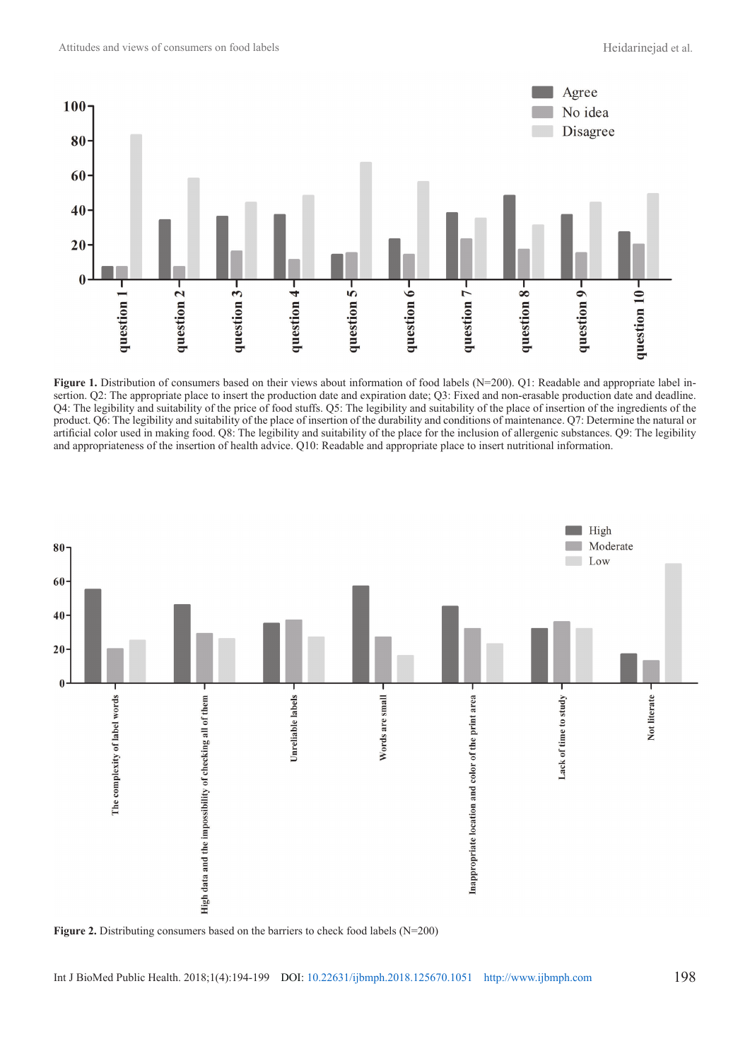

**Figure 1.** Distribution of consumers based on their views about information of food labels (N=200). Q1: Readable and appropriate label insertion. Q2: The appropriate place to insert the production date and expiration date; Q3: Fixed and non-erasable production date and deadline. Q4: The legibility and suitability of the price of food stuffs. Q5: The legibility and suitability of the place of insertion of the ingredients of the product. Q6: The legibility and suitability of the place of insertion of the durability and conditions of maintenance. Q7: Determine the natural or artificial color used in making food. Q8: The legibility and suitability of the place for the inclusion of allergenic substances. Q9: The legibility and appropriateness of the insertion of health advice. Q10: Readable and appropriate place to insert nutritional information.

![](_page_4_Figure_4.jpeg)

Figure 2. Distributing consumers based on the barriers to check food labels (N=200)